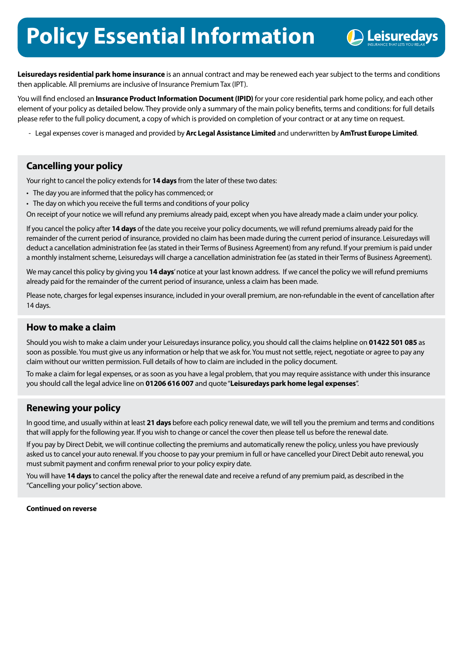# **Policy Essential Information**



**Leisuredays residential park home insurance** is an annual contract and may be renewed each year subject to the terms and conditions then applicable. All premiums are inclusive of Insurance Premium Tax (IPT).

You will find enclosed an **Insurance Product Information Document (IPID)** for your core residential park home policy, and each other element of your policy as detailed below. They provide only a summary of the main policy benefits, terms and conditions: for full details please refer to the full policy document, a copy of which is provided on completion of your contract or at any time on request.

- Legal expenses cover is managed and provided by **Arc Legal Assistance Limited** and underwritten by **AmTrust Europe Limited**.

## **Cancelling your policy**

Your right to cancel the policy extends for **14 days** from the later of these two dates:

- The day you are informed that the policy has commenced; or
- The day on which you receive the full terms and conditions of your policy

On receipt of your notice we will refund any premiums already paid, except when you have already made a claim under your policy.

If you cancel the policy after **14 days** of the date you receive your policy documents, we will refund premiums already paid for the remainder of the current period of insurance, provided no claim has been made during the current period of insurance. Leisuredays will deduct a cancellation administration fee (as stated in their Terms of Business Agreement) from any refund. If your premium is paid under a monthly instalment scheme, Leisuredays will charge a cancellation administration fee (as stated in their Terms of Business Agreement).

We may cancel this policy by giving you **14 days**' notice at your last known address. If we cancel the policy we will refund premiums already paid for the remainder of the current period of insurance, unless a claim has been made.

Please note, charges for legal expenses insurance, included in your overall premium, are non-refundable in the event of cancellation after 14 days.

#### **How to make a claim**

Should you wish to make a claim under your Leisuredays insurance policy, you should call the claims helpline on **[01422 501 085](tel:01422501085)** as soon as possible. You must give us any information or help that we ask for. You must not settle, reject, negotiate or agree to pay any claim without our written permission. Full details of how to claim are included in the policy document.

To make a claim for legal expenses, or as soon as you have a legal problem, that you may require assistance with under this insurance you should call the legal advice line on **[01206 616 007](tel:01206616007)** and quote "**Leisuredays park home legal expenses**".

## **Renewing your policy**

In good time, and usually within at least **21 days** before each policy renewal date, we will tell you the premium and terms and conditions that will apply for the following year. If you wish to change or cancel the cover then please tell us before the renewal date.

If you pay by Direct Debit, we will continue collecting the premiums and automatically renew the policy, unless you have previously asked us to cancel your auto renewal. If you choose to pay your premium in full or have cancelled your Direct Debit auto renewal, you must submit payment and confirm renewal prior to your policy expiry date.

You will have **14 days** to cancel the policy after the renewal date and receive a refund of any premium paid, as described in the "Cancelling your policy" section above.

**Continued on reverse**